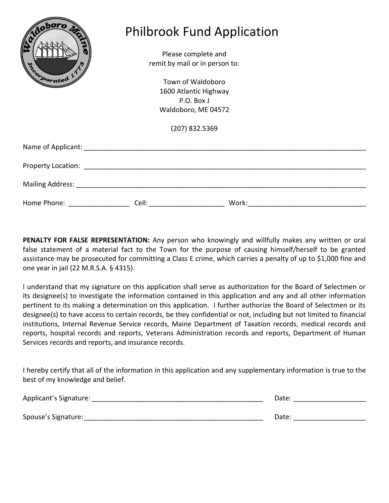| doboro<br>Dorated <sup>1</sup>                                                                                                                                                                                                | Please complete and<br>remit by mail or in person to:<br>Town of Waldoboro<br>1600 Atlantic Highway<br>P.O. Box J<br>Waldoboro, ME 04572<br>(207) 832.5369 | <b>Philbrook Fund Application</b> |  |
|-------------------------------------------------------------------------------------------------------------------------------------------------------------------------------------------------------------------------------|------------------------------------------------------------------------------------------------------------------------------------------------------------|-----------------------------------|--|
| Name of Applicant: Name of Applicant of Applicant of Applicant of Applicant of Applicant of Applicant of Applicant of Applicant of Applicant of Applicant of Applicant of Applicant of Applicant of Applicant of Applicant of |                                                                                                                                                            |                                   |  |
|                                                                                                                                                                                                                               |                                                                                                                                                            |                                   |  |
|                                                                                                                                                                                                                               |                                                                                                                                                            |                                   |  |
| Home Phone: _______________                                                                                                                                                                                                   |                                                                                                                                                            | Work:                             |  |

**PENALTY FOR FALSE REPRESENTATION:** Any person who knowingly and willfully makes any written or oral false statement of a material fact to the Town for the purpose of causing himself/herself to be granted assistance may be prosecuted for committing a Class E crime, which carries a penalty of up to \$1,000 fine and one year in jail (22 M.R.S.A. § 4315).

I understand that my signature on this application shall serve as authorization for the Board of Selectmen or its designee(s) to investigate the information contained in this application and any and all other information pertinent to its making a determination on this application. I further authorize the Board of Selectmen or its designee(s) to have access to certain records, be they confidential or not, including but not limited to financial institutions, Internal Revenue Service records, Maine Department of Taxation records, medical records and reports, hospital records and reports, Veterans Administration records and reports, Department of Human Services records and reports, and insurance records.

I hereby certify that all of the information in this application and any supplementary information is true to the best of my knowledge and belief.

| Applicant's Signature: | Date: |
|------------------------|-------|
|                        |       |
| Spouse's Signature:    | Date: |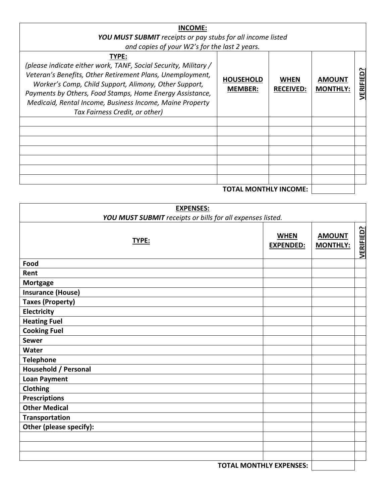| <b>INCOME:</b><br><b>YOU MUST SUBMIT</b> receipts or pay stubs for all income listed<br>and copies of your W2's for the last 2 years.                                                                                                                                                                                                                    |                                    |                          |                                  |              |
|----------------------------------------------------------------------------------------------------------------------------------------------------------------------------------------------------------------------------------------------------------------------------------------------------------------------------------------------------------|------------------------------------|--------------------------|----------------------------------|--------------|
| TYPE:<br>(please indicate either work, TANF, Social Security, Military /<br>Veteran's Benefits, Other Retirement Plans, Unemployment,<br>Worker's Comp, Child Support, Alimony, Other Support,<br>Payments by Others, Food Stamps, Home Energy Assistance,<br>Medicaid, Rental Income, Business Income, Maine Property<br>Tax Fairness Credit, or other) | <b>HOUSEHOLD</b><br><b>MEMBER:</b> | WHEN<br><b>RECEIVED:</b> | <b>AMOUNT</b><br><b>MONTHLY:</b> | ≏<br>VERIFIE |
|                                                                                                                                                                                                                                                                                                                                                          |                                    |                          |                                  |              |
|                                                                                                                                                                                                                                                                                                                                                          |                                    |                          |                                  |              |

## **TOTAL MONTHLY INCOME:**

| <b>EXPENSES:</b><br>YOU MUST SUBMIT receipts or bills for all expenses listed. |                                 |                                  |                  |
|--------------------------------------------------------------------------------|---------------------------------|----------------------------------|------------------|
| TYPE:                                                                          | <b>WHEN</b><br><b>EXPENDED:</b> | <b>AMOUNT</b><br><b>MONTHLY:</b> | <b>VERIFIED?</b> |
| Food                                                                           |                                 |                                  |                  |
| Rent                                                                           |                                 |                                  |                  |
| <b>Mortgage</b>                                                                |                                 |                                  |                  |
| <b>Insurance (House)</b>                                                       |                                 |                                  |                  |
| <b>Taxes (Property)</b>                                                        |                                 |                                  |                  |
| Electricity                                                                    |                                 |                                  |                  |
| <b>Heating Fuel</b>                                                            |                                 |                                  |                  |
| <b>Cooking Fuel</b>                                                            |                                 |                                  |                  |
| <b>Sewer</b>                                                                   |                                 |                                  |                  |
| Water                                                                          |                                 |                                  |                  |
| <b>Telephone</b>                                                               |                                 |                                  |                  |
| Household / Personal                                                           |                                 |                                  |                  |
| <b>Loan Payment</b>                                                            |                                 |                                  |                  |
| Clothing                                                                       |                                 |                                  |                  |
| <b>Prescriptions</b>                                                           |                                 |                                  |                  |
| <b>Other Medical</b>                                                           |                                 |                                  |                  |
| <b>Transportation</b>                                                          |                                 |                                  |                  |
| Other (please specify):                                                        |                                 |                                  |                  |
|                                                                                |                                 |                                  |                  |
|                                                                                |                                 |                                  |                  |
|                                                                                |                                 |                                  |                  |
| <b>TOTAL MONTHLY EXPENSES:</b>                                                 |                                 |                                  |                  |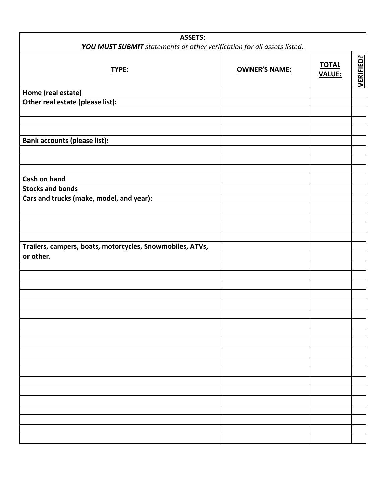| <b>ASSETS:</b>                                                                 |                      |                               |                  |  |
|--------------------------------------------------------------------------------|----------------------|-------------------------------|------------------|--|
| <b>YOU MUST SUBMIT</b> statements or other verification for all assets listed. |                      |                               |                  |  |
| TYPE:                                                                          | <b>OWNER'S NAME:</b> | <b>TOTAL</b><br><b>VALUE:</b> | <b>VERIFIED?</b> |  |
| Home (real estate)                                                             |                      |                               |                  |  |
| Other real estate (please list):                                               |                      |                               |                  |  |
|                                                                                |                      |                               |                  |  |
|                                                                                |                      |                               |                  |  |
|                                                                                |                      |                               |                  |  |
| <b>Bank accounts (please list):</b>                                            |                      |                               |                  |  |
|                                                                                |                      |                               |                  |  |
|                                                                                |                      |                               |                  |  |
| Cash on hand                                                                   |                      |                               |                  |  |
| <b>Stocks and bonds</b>                                                        |                      |                               |                  |  |
| Cars and trucks (make, model, and year):                                       |                      |                               |                  |  |
|                                                                                |                      |                               |                  |  |
|                                                                                |                      |                               |                  |  |
|                                                                                |                      |                               |                  |  |
|                                                                                |                      |                               |                  |  |
| Trailers, campers, boats, motorcycles, Snowmobiles, ATVs,                      |                      |                               |                  |  |
| or other.                                                                      |                      |                               |                  |  |
|                                                                                |                      |                               |                  |  |
|                                                                                |                      |                               |                  |  |
|                                                                                |                      |                               |                  |  |
|                                                                                |                      |                               |                  |  |
|                                                                                |                      |                               |                  |  |
|                                                                                |                      |                               |                  |  |
|                                                                                |                      |                               |                  |  |
|                                                                                |                      |                               |                  |  |
|                                                                                |                      |                               |                  |  |
|                                                                                |                      |                               |                  |  |
|                                                                                |                      |                               |                  |  |
|                                                                                |                      |                               |                  |  |
|                                                                                |                      |                               |                  |  |
|                                                                                |                      |                               |                  |  |
|                                                                                |                      |                               |                  |  |
|                                                                                |                      |                               |                  |  |
|                                                                                |                      |                               |                  |  |
|                                                                                |                      |                               |                  |  |